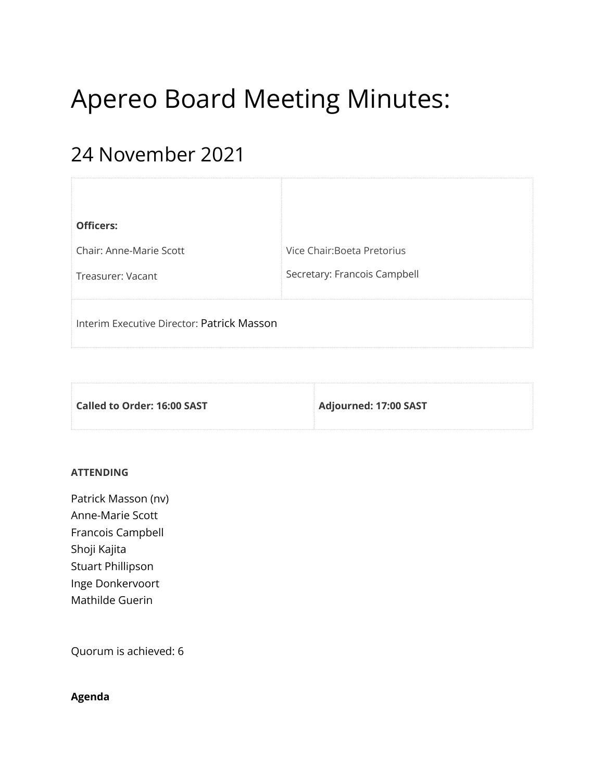# Apereo Board Meeting Minutes:

# 24 November 2021

| <b>Officers:</b>                           |                              |
|--------------------------------------------|------------------------------|
| Chair: Anne-Marie Scott                    | Vice Chair: Boeta Pretorius  |
| Treasurer: Vacant                          | Secretary: Francois Campbell |
| Interim Executive Director: Patrick Masson |                              |

| Called to Order: 16:00 SAST | Adjourned: 17:00 SAST |
|-----------------------------|-----------------------|
|                             |                       |

### **ATTENDING**

Patrick Masson (nv) Anne-Marie Scott Francois Campbell Shoji Kajita Stuart Phillipson Inge Donkervoort Mathilde Guerin

Quorum is achieved: 6

# **Agenda**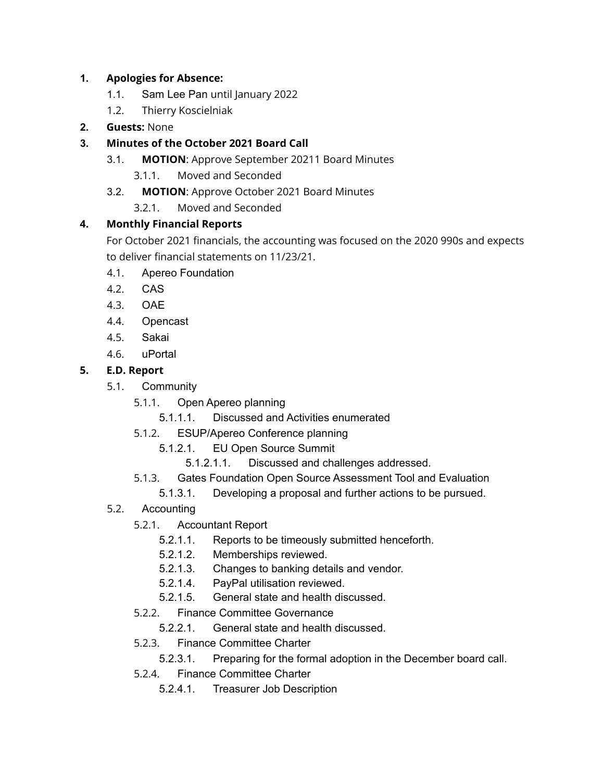# **1. Apologies for Absence:**

- 1.1. Sam Lee Pan until January 2022
- 1.2. Thierry Koscielniak
- **2. Guests:** None

# **3. Minutes of the October 2021 Board Call**

- 3.1. **MOTION**: Approve September 20211 Board Minutes
	- 3.1.1. Moved and Seconded
- 3.2. **MOTION**: Approve October 2021 Board Minutes
	- 3.2.1. Moved and Seconded

# **4. Monthly Financial Reports**

For October 2021 financials, the accounting was focused on the 2020 990s and expects to deliver financial statements on 11/23/21.

- 4.1. Apereo Foundation
- 4.2. CAS
- 4.3. OAE
- 4.4. Opencast
- 4.5. Sakai
- 4.6. uPortal

# **5. E.D. Report**

- 5.1. Community
	- 5.1.1. Open Apereo planning
		- 5.1.1.1. Discussed and Activities enumerated
	- 5.1.2. ESUP/Apereo Conference planning
		- 5.1.2.1. EU Open Source Summit
			- 5.1.2.1.1. Discussed and challenges addressed.
	- 5.1.3. Gates Foundation Open Source Assessment Tool and Evaluation
		- 5.1.3.1. Developing a proposal and further actions to be pursued.
- 5.2. Accounting
	- 5.2.1. Accountant Report
		- 5.2.1.1. Reports to be timeously submitted henceforth.
		- 5.2.1.2. Memberships reviewed.
		- 5.2.1.3. Changes to banking details and vendor.
		- 5.2.1.4. PayPal utilisation reviewed.
		- 5.2.1.5. General state and health discussed.
	- 5.2.2. Finance Committee Governance
		- 5.2.2.1. General state and health discussed.
	- 5.2.3. Finance Committee Charter
		- 5.2.3.1. Preparing for the formal adoption in the December board call.
	- 5.2.4. Finance Committee Charter
		- 5.2.4.1. Treasurer Job Description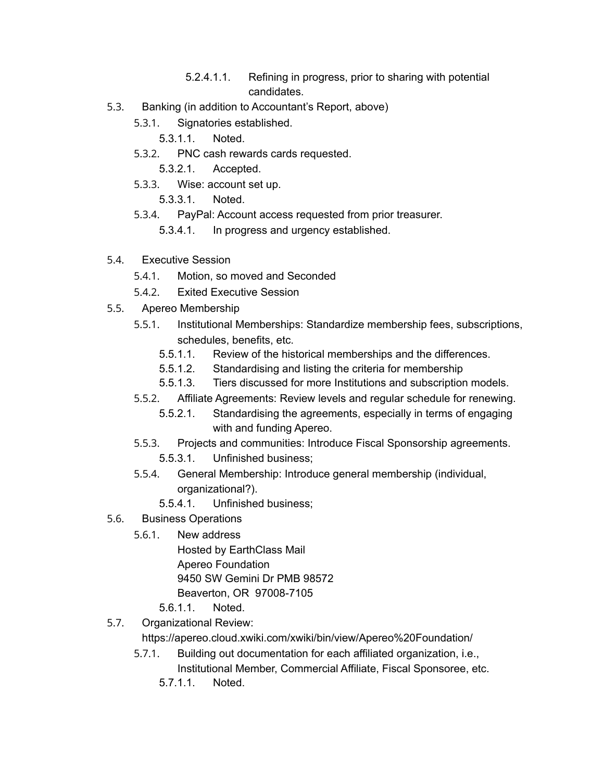- 5.2.4.1.1. Refining in progress, prior to sharing with potential candidates.
- 5.3. Banking (in addition to Accountant's Report, above)
	- 5.3.1. Signatories established.

5.3.1.1. Noted.

- 5.3.2. PNC cash rewards cards requested.
	- 5.3.2.1. Accepted.
- 5.3.3. Wise: account set up.
	- 5.3.3.1. Noted.
- 5.3.4. PayPal: Account access requested from prior treasurer.
	- 5.3.4.1. In progress and urgency established.
- 5.4. Executive Session
	- 5.4.1. Motion, so moved and Seconded
	- 5.4.2. Exited Executive Session
- 5.5. Apereo Membership
	- 5.5.1. Institutional Memberships: Standardize membership fees, subscriptions, schedules, benefits, etc.
		- 5.5.1.1. Review of the historical memberships and the differences.
		- 5.5.1.2. Standardising and listing the criteria for membership
		- 5.5.1.3. Tiers discussed for more Institutions and subscription models.
	- 5.5.2. Affiliate Agreements: Review levels and regular schedule for renewing.
		- 5.5.2.1. Standardising the agreements, especially in terms of engaging with and funding Apereo.
	- 5.5.3. Projects and communities: Introduce Fiscal Sponsorship agreements.
		- 5.5.3.1. Unfinished business;
	- 5.5.4. General Membership: Introduce general membership (individual, organizational?).
		- 5.5.4.1. Unfinished business;
- 5.6. Business Operations
	- 5.6.1. New address

Hosted by EarthClass Mail Apereo Foundation 9450 SW Gemini Dr PMB 98572 Beaverton, OR 97008-7105

- 5.6.1.1. Noted.
- 5.7. Organizational Review:

https://apereo.cloud.xwiki.com/xwiki/bin/view/Apereo%20Foundation/

- 5.7.1. Building out documentation for each affiliated organization, i.e., Institutional Member, Commercial Affiliate, Fiscal Sponsoree, etc.
	- 5.7.1.1. Noted.